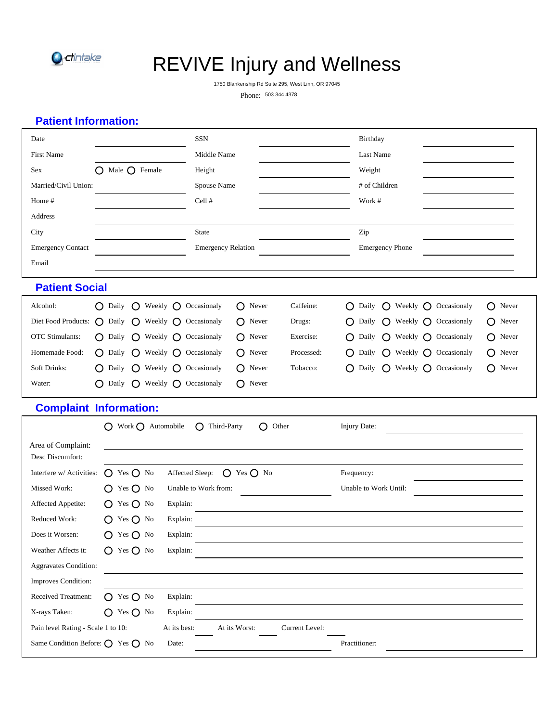

# REVIVE Injury and Wellness

1750 Blankenship Rd Suite 295, West Linn, OR 97045

Phone: 503 344 4378

# **Patient Information:**

| Date                                                                                              |                                                             | <b>SSN</b>                                       |                | Birthday                                                 |                                      |
|---------------------------------------------------------------------------------------------------|-------------------------------------------------------------|--------------------------------------------------|----------------|----------------------------------------------------------|--------------------------------------|
| First Name                                                                                        | Middle Name                                                 |                                                  | Last Name      |                                                          |                                      |
| Sex                                                                                               | $\bigcirc$ Male $\bigcirc$ Female                           | Height                                           |                | Weight                                                   |                                      |
| Married/Civil Union:                                                                              |                                                             | Spouse Name                                      |                | # of Children                                            |                                      |
| Home #                                                                                            |                                                             | Cell #                                           |                | Work #                                                   |                                      |
| Address                                                                                           |                                                             |                                                  |                |                                                          |                                      |
| City                                                                                              |                                                             | <b>State</b>                                     |                | Zip                                                      |                                      |
| <b>Emergency Contact</b>                                                                          |                                                             | <b>Emergency Relation</b>                        |                | <b>Emergency Phone</b>                                   |                                      |
| Email                                                                                             |                                                             |                                                  |                |                                                          |                                      |
| <b>Patient Social</b>                                                                             |                                                             |                                                  |                |                                                          |                                      |
| Alcohol:                                                                                          | $\bigcap$ Daily<br>$\left( \right)$                         | Weekly $\bigcap$ Occasionaly<br>Never<br>$\circ$ | Caffeine:      | Daily<br>Weekly $\bigcap$ Occasionaly<br>O<br>$\bigcirc$ | $\bigcap$ Never                      |
| Diet Food Products: $\bigcap$ Daily                                                               | O                                                           | Weekly $\bigcap$ Occasionaly<br>Never<br>O       | Drugs:         | Daily<br>Weekly $\bigcap$ Occasionaly<br>O<br>$\Omega$   | Never<br>O                           |
| <b>OTC</b> Stimulants:                                                                            | $\bigcirc$ Daily<br>O<br>Weekly $\bigcirc$                  | Occasionaly<br>Never<br>O                        | Exercise:      | Daily<br>O<br>Weekly $\bigcirc$ Occasionaly<br>O         | Never<br>O                           |
| Homemade Food:                                                                                    | $\bigcap$ Daily<br>$\left( \right)$                         | Weekly $\bigcap$ Occasionaly<br>Never<br>O       | Processed:     | Daily<br>Weekly<br>O<br>$\left( \right)$                 | $\bigcap$ Occasionaly<br>Never<br>() |
| Soft Drinks:                                                                                      | $\bigcirc$ Weekly $\bigcirc$ Occasionaly<br>$\bigcap$ Daily | Never<br>O                                       | Tobacco:       | O<br>Daily<br>$\Omega$<br>Weekly $\bigcap$ Occasionaly   | $\bigcirc$ Never                     |
| Water:                                                                                            | $\bigcirc$ Weekly $\bigcirc$ Occasionaly<br>$\bigcap$ Daily | O<br>Never                                       |                |                                                          |                                      |
|                                                                                                   | <b>Complaint Information:</b>                               |                                                  |                |                                                          |                                      |
|                                                                                                   | $\bigcap$ Work $\bigcap$ Automobile                         | $\bigcap$ Third-Party<br>$\left( \right)$        | Other          | Injury Date:                                             |                                      |
| Area of Complaint:                                                                                |                                                             |                                                  |                |                                                          |                                      |
| Desc Discomfort:                                                                                  |                                                             |                                                  |                |                                                          |                                      |
| Interfere w/ Activities:                                                                          | $O$ Yes $O$ No                                              | Affected Sleep:<br>$O$ Yes $O$ No                |                | Frequency:                                               |                                      |
| Missed Work:                                                                                      | $\bigcirc$ Yes $\bigcirc$ No                                | Unable to Work from:                             |                | Unable to Work Until:                                    |                                      |
| Affected Appetite:                                                                                | $O$ Yes $O$ No                                              | Explain:                                         |                |                                                          |                                      |
| Reduced Work:                                                                                     | $O$ Yes $O$ No                                              | Explain:                                         |                |                                                          |                                      |
| Does it Worsen:                                                                                   | $O$ Yes $O$ No                                              | Explain:                                         |                |                                                          |                                      |
| Weather Affects it:                                                                               | $O$ Yes $O$ No                                              | Explain:                                         |                |                                                          |                                      |
| <b>Aggravates Condition:</b>                                                                      |                                                             |                                                  |                |                                                          |                                      |
|                                                                                                   |                                                             |                                                  |                |                                                          |                                      |
|                                                                                                   |                                                             |                                                  |                |                                                          |                                      |
|                                                                                                   | O Yes O No                                                  | Explain:                                         |                |                                                          |                                      |
|                                                                                                   | $O$ Yes $O$ No                                              | Explain:                                         |                |                                                          |                                      |
| Improves Condition:<br>Received Treatment:<br>X-rays Taken:<br>Pain level Rating - Scale 1 to 10: |                                                             | At its Worst:<br>At its best:                    | Current Level: |                                                          |                                      |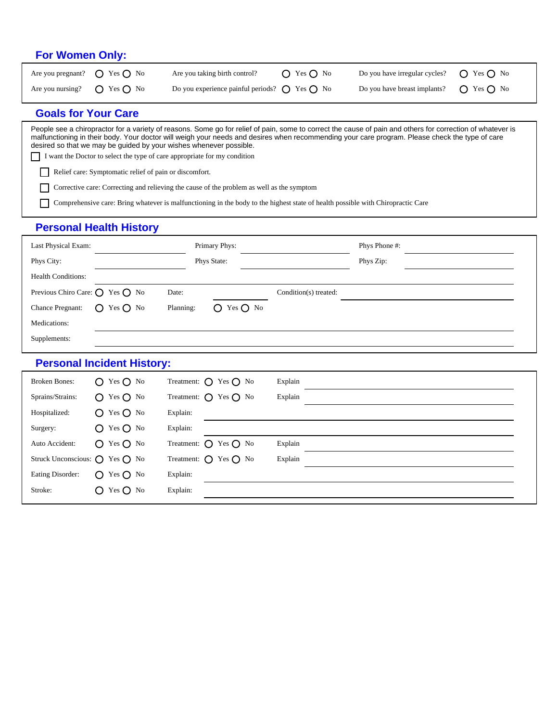#### **For Women Only:**

| Are you pregnant? $\bigcirc$ Yes $\bigcirc$ No | Are you taking birth control?                                   | $\bigcap$ Yes $\bigcap$ No | Do you have irregular cycles? $\bigcirc$ Yes $\bigcirc$ No |  |
|------------------------------------------------|-----------------------------------------------------------------|----------------------------|------------------------------------------------------------|--|
| Are you nursing? $\bigcirc$ Yes $\bigcirc$ No  | Do you experience painful periods? $\bigcirc$ Yes $\bigcirc$ No |                            | Do you have breast implants? $\bigcirc$ Yes $\bigcirc$ No  |  |

#### **Goals for Your Care**

People see a chiropractor for a variety of reasons. Some go for relief of pain, some to correct the cause of pain and others for correction of whatever is malfunctioning in their body. Your doctor will weigh your needs and desires when recommending your care program. Please check the type of care desired so that we may be guided by your wishes whenever possible. I want the Doctor to select the type of care appropriate for my condition

Relief care: Symptomatic relief of pain or discomfort.

 $\Box$ Corrective care: Correcting and relieving the cause of the problem as well as the symptom

Comprehensive care: Bring whatever is malfunctioning in the body to the highest state of health possible with Chiropractic Care  $\Box$ 

## **Personal Health History**

| Last Physical Exam:                               |                |           | Primary Phys:  |                       | Phys Phone #: |  |
|---------------------------------------------------|----------------|-----------|----------------|-----------------------|---------------|--|
| Phys City:                                        |                |           | Phys State:    |                       | Phys Zip:     |  |
| <b>Health Conditions:</b>                         |                |           |                |                       |               |  |
| Previous Chiro Care: $\bigcirc$ Yes $\bigcirc$ No |                | Date:     |                | Condition(s) treated: |               |  |
| <b>Chance Pregnant:</b>                           | $O$ Yes $O$ No | Planning: | $O$ Yes $O$ No |                       |               |  |
| Medications:                                      |                |           |                |                       |               |  |
| Supplements:                                      |                |           |                |                       |               |  |

#### **Personal Incident History:**

| <b>Broken Bones:</b>                           | $O$ Yes $O$ No | Treatment: $\bigcap$ Yes $\bigcap$ No   | Explain |
|------------------------------------------------|----------------|-----------------------------------------|---------|
| Sprains/Strains:                               | $O$ Yes $O$ No | Treatment: $\bigcirc$ Yes $\bigcirc$ No | Explain |
| Hospitalized:                                  | $O$ Yes $O$ No | Explain:                                |         |
| Surgery:                                       | $O$ Yes $O$ No | Explain:                                |         |
| Auto Accident:                                 | $O$ Yes $O$ No | Treatment: $\bigcirc$ Yes $\bigcirc$ No | Explain |
| Struck Unconscious: $\bigcap$ Yes $\bigcap$ No |                | Treatment: $\bigcap$ Yes $\bigcap$ No   | Explain |
| Eating Disorder:                               | $O$ Yes $O$ No | Explain:                                |         |
| Stroke:                                        | $O$ Yes $O$ No | Explain:                                |         |
|                                                |                |                                         |         |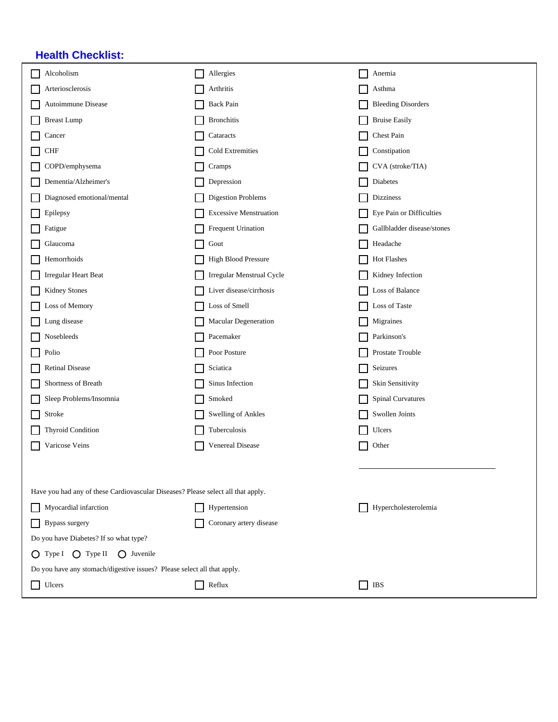# **Health Checklist:**

| Alcoholism                                                                       | Allergies                     | Anemia                     |  |  |  |  |
|----------------------------------------------------------------------------------|-------------------------------|----------------------------|--|--|--|--|
| Arteriosclerosis                                                                 | Arthritis                     | Asthma                     |  |  |  |  |
| Autoimmune Disease                                                               | <b>Back Pain</b>              | <b>Bleeding Disorders</b>  |  |  |  |  |
| <b>Breast Lump</b>                                                               | <b>Bronchitis</b>             | <b>Bruise Easily</b>       |  |  |  |  |
| Cancer                                                                           | Cataracts                     | Chest Pain                 |  |  |  |  |
| <b>CHF</b>                                                                       | Cold Extremities              | Constipation               |  |  |  |  |
| COPD/emphysema                                                                   | Cramps                        | CVA (stroke/TIA)           |  |  |  |  |
| Dementia/Alzheimer's                                                             | Depression                    | Diabetes                   |  |  |  |  |
| Diagnosed emotional/mental                                                       | <b>Digestion Problems</b>     | <b>Dizziness</b>           |  |  |  |  |
| Epilepsy                                                                         | <b>Excessive Menstruation</b> | Eye Pain or Difficulties   |  |  |  |  |
| Fatigue                                                                          | Frequent Urination            | Gallbladder disease/stones |  |  |  |  |
| Glaucoma                                                                         | Gout                          | Headache                   |  |  |  |  |
| Hemorrhoids                                                                      | <b>High Blood Pressure</b>    | Hot Flashes                |  |  |  |  |
| <b>Irregular Heart Beat</b>                                                      | Irregular Menstrual Cycle     | Kidney Infection           |  |  |  |  |
| <b>Kidney Stones</b>                                                             | Liver disease/cirrhosis       | Loss of Balance            |  |  |  |  |
| Loss of Memory                                                                   | Loss of Smell                 | Loss of Taste              |  |  |  |  |
| Lung disease                                                                     | Macular Degeneration          | Migraines                  |  |  |  |  |
| Nosebleeds<br>$\mathcal{L}_{\mathcal{A}}$                                        | Pacemaker                     | Parkinson's                |  |  |  |  |
| Polio                                                                            | Poor Posture                  | Prostate Trouble           |  |  |  |  |
| <b>Retinal Disease</b>                                                           | Sciatica                      | Seizures                   |  |  |  |  |
| Shortness of Breath                                                              | Sinus Infection               | Skin Sensitivity           |  |  |  |  |
| Sleep Problems/Insomnia                                                          | Smoked                        | <b>Spinal Curvatures</b>   |  |  |  |  |
| Stroke                                                                           | <b>Swelling of Ankles</b>     | Swollen Joints             |  |  |  |  |
| Thyroid Condition                                                                | Tuberculosis                  | Ulcers                     |  |  |  |  |
| Varicose Veins                                                                   | Venereal Disease              | Other                      |  |  |  |  |
|                                                                                  |                               |                            |  |  |  |  |
|                                                                                  |                               |                            |  |  |  |  |
| Have you had any of these Cardiovascular Diseases? Please select all that apply. |                               |                            |  |  |  |  |
| Myocardial infarction                                                            | Hypertension                  | Hypercholesterolemia       |  |  |  |  |
| Bypass surgery                                                                   | Coronary artery disease       |                            |  |  |  |  |
| Do you have Diabetes? If so what type?                                           |                               |                            |  |  |  |  |
| $\bigcirc$ Type I $\bigcirc$ Type II<br>$\bigcap$ Juvenile                       |                               |                            |  |  |  |  |
| Do you have any stomach/digestive issues? Please select all that apply.          |                               |                            |  |  |  |  |
| Ulcers                                                                           | Reflux                        | IBS<br>$\blacksquare$      |  |  |  |  |